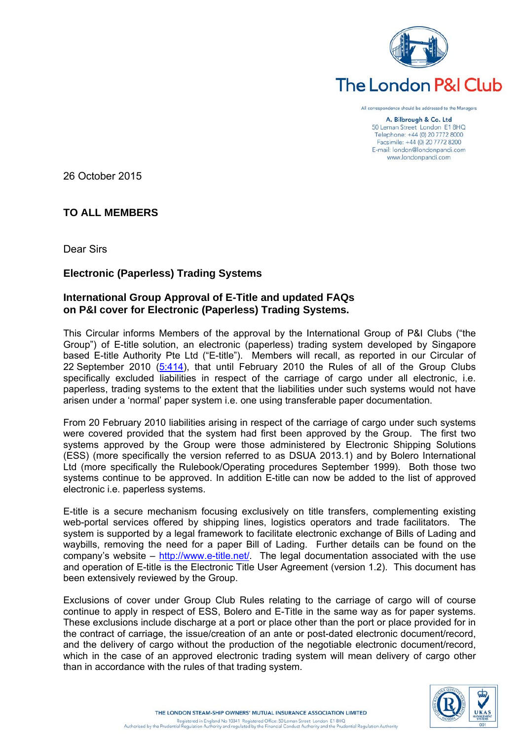

# **The London P&I Club**

All correspo nce should be addressed to the Managers

> A. Bilbrough & Co. Ltd 50 Leman Street London E1 8HQ Telephone: +44 (0) 20 7772 8000 Facsimile: +44 (0) 20 7772 8200 E-mail: london@londonpandi.com www.londonpandi.com

26 October 2015

# **TO ALL MEMBERS**

Dear Sirs

# **Electronic (Paperless) Trading Systems**

# **International Group Approval of E-Title and updated FAQs on P&I cover for Electronic (Paperless) Trading Systems.**

This Circular informs Members of the approval by the International Group of P&I Clubs ("the Group") of E-title solution, an electronic (paperless) trading system developed by Singapore based E-title Authority Pte Ltd ("E-title"). Members will recall, as reported in our Circular of 22 September 2010 [\(5:414\)](http://www.londonpandi.com/_common/updateable/downloads/documents/5414.pdf), that until February 2010 the Rules of all of the Group Clubs specifically excluded liabilities in respect of the carriage of cargo under all electronic, i.e. paperless, trading systems to the extent that the liabilities under such systems would not have arisen under a 'normal' paper system i.e. one using transferable paper documentation.

From 20 February 2010 liabilities arising in respect of the carriage of cargo under such systems were covered provided that the system had first been approved by the Group. The first two systems approved by the Group were those administered by Electronic Shipping Solutions (ESS) (more specifically the version referred to as DSUA 2013.1) and by Bolero International Ltd (more specifically the Rulebook/Operating procedures September 1999). Both those two systems continue to be approved. In addition E-title can now be added to the list of approved electronic i.e. paperless systems.

E-title is a secure mechanism focusing exclusively on title transfers, complementing existing web-portal services offered by shipping lines, logistics operators and trade facilitators. The system is supported by a legal framework to facilitate electronic exchange of Bills of Lading and waybills, removing the need for a paper Bill of Lading. Further details can be found on the company's website – [http://www.e-title.net/.](http://www.e-title.net/) The legal documentation associated with the use and operation of E-title is the Electronic Title User Agreement (version 1.2). This document has been extensively reviewed by the Group.

Exclusions of cover under Group Club Rules relating to the carriage of cargo will of course continue to apply in respect of ESS, Bolero and E-Title in the same way as for paper systems. These exclusions include discharge at a port or place other than the port or place provided for in the contract of carriage, the issue/creation of an ante or post-dated electronic document/record, and the delivery of cargo without the production of the negotiable electronic document/record, which in the case of an approved electronic trading system will mean delivery of cargo other than in accordance with the rules of that trading system.

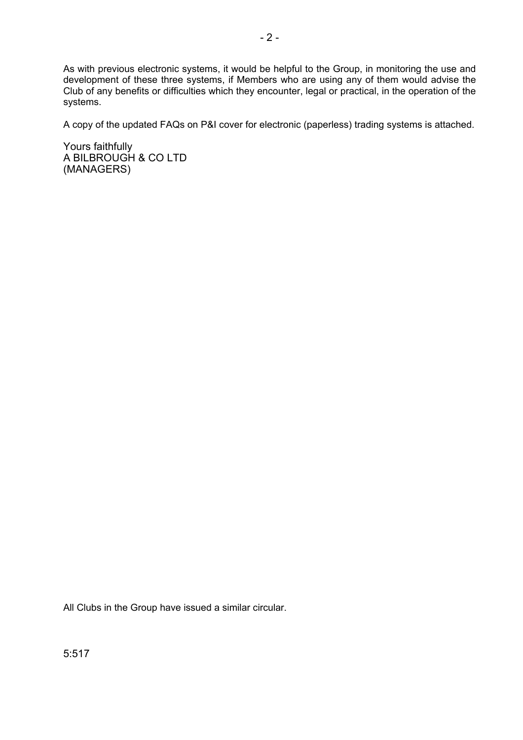As with previous electronic systems, it would be helpful to the Group, in monitoring the use and development of these three systems, if Members who are using any of them would advise the Club of any benefits or difficulties which they encounter, legal or practical, in the operation of the systems.

A copy of the updated FAQs on P&I cover for electronic (paperless) trading systems is attached.

Yours faithfully A BILBROUGH & CO LTD (MANAGERS)

All Clubs in the Group have issued a similar circular.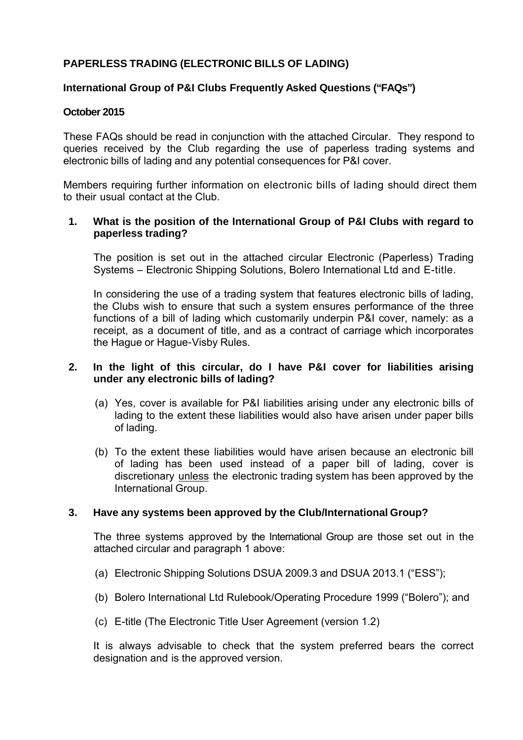# **PAPERLESS TRADING (ELECTRONIC BILLS OF LADING)**

## **International Group of P&I Clubs Frequently Asked Questions ("FAQs")**

#### **October 2015**

These FAQs should be read in conjunction with the attached Circular. They respond to queries received by the Club regarding the use of paperless trading systems and electronic bills of lading and any potential consequences for P&I cover.

Members requiring further information on electronic bills of lading should direct them to their usual contact at the Club.

## **1. What is the position of the International Group of P&I Clubs with regard to paperless trading?**

The position is set out in the attached circular Electronic (Paperless) Trading Systems – Electronic Shipping Solutions, Bolero International Ltd and E-title.

In considering the use of a trading system that features electronic bills of lading, the Clubs wish to ensure that such a system ensures performance of the three functions of a bill of lading which customarily underpin P&I cover, namely: as a receipt, as a document of title, and as a contract of carriage which incorporates the Hague or Hague-Visby Rules.

#### **2. In the light of this circular, do I have P&I cover for liabilities arising under any electronic bills of lading?**

- (a) Yes, cover is available for P&I liabilities arising under any electronic bills of lading to the extent these liabilities would also have arisen under paper bills of lading.
- (b) To the extent these liabilities would have arisen because an electronic bill of lading has been used instead of a paper bill of lading, cover is discretionary unless the electronic trading system has been approved by the International Group.

## **3. Have any systems been approved by the Club/International Group?**

The three systems approved by the International Group are those set out in the attached circular and paragraph 1 above:

- (a) Electronic Shipping Solutions DSUA 2009.3 and DSUA 2013.1 ("ESS");
- (b) Bolero International Ltd Rulebook/Operating Procedure 1999 ("Bolero"); and
- (c) E-title (The Electronic Title User Agreement (version 1.2)

It is always advisable to check that the system preferred bears the correct designation and is the approved version.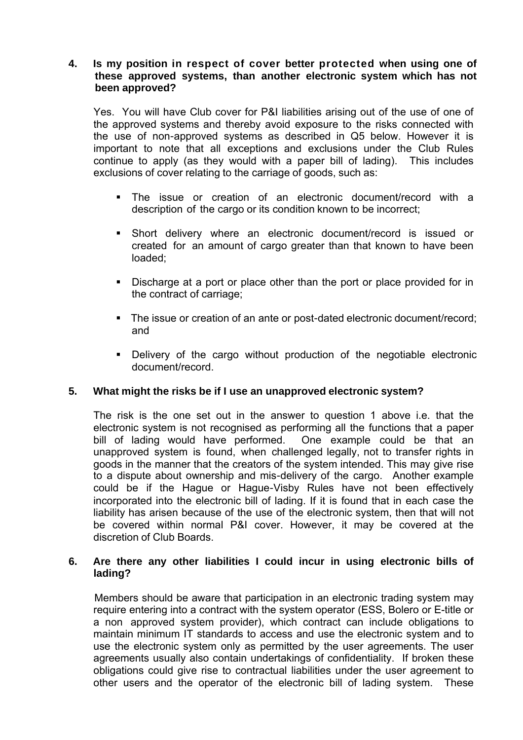## **4. Is my position in respect of cover better protected when using one of these approved systems, than another electronic system which has not been approved?**

Yes. You will have Club cover for P&I liabilities arising out of the use of one of the approved systems and thereby avoid exposure to the risks connected with the use of non-approved systems as described in Q5 below. However it is important to note that all exceptions and exclusions under the Club Rules continue to apply (as they would with a paper bill of lading). This includes exclusions of cover relating to the carriage of goods, such as:

- The issue or creation of an electronic document/record with a description of the cargo or its condition known to be incorrect;
- Short delivery where an electronic document/record is issued or created for an amount of cargo greater than that known to have been loaded;
- Discharge at a port or place other than the port or place provided for in the contract of carriage;
- The issue or creation of an ante or post-dated electronic document/record; and
- Delivery of the cargo without production of the negotiable electronic document/record.

## **5. What might the risks be if I use an unapproved electronic system?**

The risk is the one set out in the answer to question 1 above i.e. that the electronic system is not recognised as performing all the functions that a paper bill of lading would have performed. One example could be that an unapproved system is found, when challenged legally, not to transfer rights in goods in the manner that the creators of the system intended. This may give rise to a dispute about ownership and mis-delivery of the cargo. Another example could be if the Hague or Hague-Visby Rules have not been effectively incorporated into the electronic bill of lading. If it is found that in each case the liability has arisen because of the use of the electronic system, then that will not be covered within normal P&I cover. However, it may be covered at the discretion of Club Boards.

#### **6. Are there any other liabilities I could incur in using electronic bills of lading?**

Members should be aware that participation in an electronic trading system may require entering into a contract with the system operator (ESS, Bolero or E-title or a non approved system provider), which contract can include obligations to maintain minimum IT standards to access and use the electronic system and to use the electronic system only as permitted by the user agreements. The user agreements usually also contain undertakings of confidentiality. If broken these obligations could give rise to contractual liabilities under the user agreement to other users and the operator of the electronic bill of lading system. These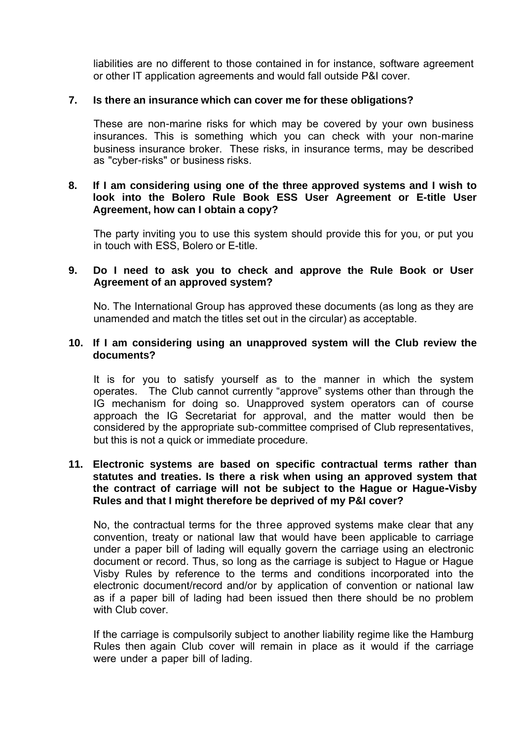liabilities are no different to those contained in for instance, software agreement or other IT application agreements and would fall outside P&I cover.

#### **7. Is there an insurance which can cover me for these obligations?**

These are non-marine risks for which may be covered by your own business insurances. This is something which you can check with your non-marine business insurance broker. These risks, in insurance terms, may be described as "cyber-risks" or business risks.

## **8. If I am considering using one of the three approved systems and I wish to look into the Bolero Rule Book ESS User Agreement or E-title User Agreement, how can I obtain a copy?**

The party inviting you to use this system should provide this for you, or put you in touch with ESS, Bolero or E-title.

## **9. Do I need to ask you to check and approve the Rule Book or User Agreement of an approved system?**

No. The International Group has approved these documents (as long as they are unamended and match the titles set out in the circular) as acceptable.

#### **10. If I am considering using an unapproved system will the Club review the documents?**

It is for you to satisfy yourself as to the manner in which the system operates. The Club cannot currently "approve" systems other than through the IG mechanism for doing so. Unapproved system operators can of course approach the IG Secretariat for approval, and the matter would then be considered by the appropriate sub-committee comprised of Club representatives, but this is not a quick or immediate procedure.

#### **11. Electronic systems are based on specific contractual terms rather than statutes and treaties. Is there a risk when using an approved system that the contract of carriage will not be subject to the Hague or Hague-Visby Rules and that I might therefore be deprived of my P&I cover?**

No, the contractual terms for the three approved systems make clear that any convention, treaty or national law that would have been applicable to carriage under a paper bill of lading will equally govern the carriage using an electronic document or record. Thus, so long as the carriage is subject to Hague or Hague Visby Rules by reference to the terms and conditions incorporated into the electronic document/record and/or by application of convention or national law as if a paper bill of lading had been issued then there should be no problem with Club cover.

If the carriage is compulsorily subject to another liability regime like the Hamburg Rules then again Club cover will remain in place as it would if the carriage were under a paper bill of lading.